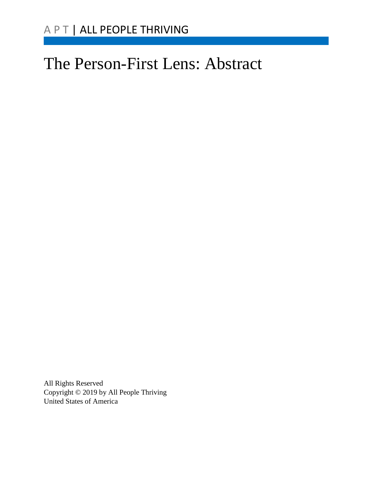# The Person-First Lens: Abstract

All Rights Reserved Copyright © 2019 by All People Thriving United States of America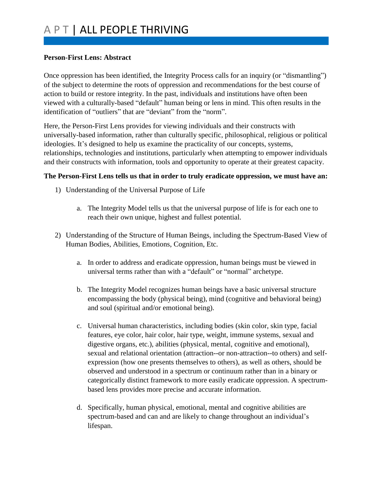#### **Person-First Lens: Abstract**

Once oppression has been identified, the Integrity Process calls for an inquiry (or "dismantling") of the subject to determine the roots of oppression and recommendations for the best course of action to build or restore integrity. In the past, individuals and institutions have often been viewed with a culturally-based "default" human being or lens in mind. This often results in the identification of "outliers" that are "deviant" from the "norm".

Here, the Person-First Lens provides for viewing individuals and their constructs with universally-based information, rather than culturally specific, philosophical, religious or political ideologies. It's designed to help us examine the practicality of our concepts, systems, relationships, technologies and institutions, particularly when attempting to empower individuals and their constructs with information, tools and opportunity to operate at their greatest capacity.

## **The Person-First Lens tells us that in order to truly eradicate oppression, we must have an:**

- 1) Understanding of the Universal Purpose of Life
	- a. The Integrity Model tells us that the universal purpose of life is for each one to reach their own unique, highest and fullest potential.
- 2) Understanding of the Structure of Human Beings, including the Spectrum-Based View of Human Bodies, Abilities, Emotions, Cognition, Etc.
	- a. In order to address and eradicate oppression, human beings must be viewed in universal terms rather than with a "default" or "normal" archetype.
	- b. The Integrity Model recognizes human beings have a basic universal structure encompassing the body (physical being), mind (cognitive and behavioral being) and soul (spiritual and/or emotional being).
	- c. Universal human characteristics, including bodies (skin color, skin type, facial features, eye color, hair color, hair type, weight, immune systems, sexual and digestive organs, etc.), abilities (physical, mental, cognitive and emotional), sexual and relational orientation (attraction--or non-attraction--to others) and selfexpression (how one presents themselves to others), as well as others, should be observed and understood in a spectrum or continuum rather than in a binary or categorically distinct framework to more easily eradicate oppression. A spectrumbased lens provides more precise and accurate information.
	- d. Specifically, human physical, emotional, mental and cognitive abilities are spectrum-based and can and are likely to change throughout an individual's lifespan.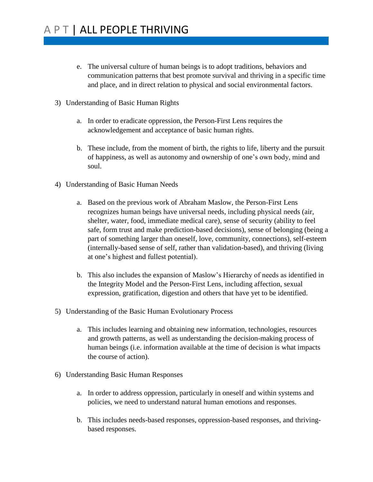- e. The universal culture of human beings is to adopt traditions, behaviors and communication patterns that best promote survival and thriving in a specific time and place, and in direct relation to physical and social environmental factors.
- 3) Understanding of Basic Human Rights
	- a. In order to eradicate oppression, the Person-First Lens requires the acknowledgement and acceptance of basic human rights.
	- b. These include, from the moment of birth, the rights to life, liberty and the pursuit of happiness, as well as autonomy and ownership of one's own body, mind and soul.
- 4) Understanding of Basic Human Needs
	- a. Based on the previous work of Abraham Maslow, the Person-First Lens recognizes human beings have universal needs, including physical needs (air, shelter, water, food, immediate medical care), sense of security (ability to feel safe, form trust and make prediction-based decisions), sense of belonging (being a part of something larger than oneself, love, community, connections), self-esteem (internally-based sense of self, rather than validation-based), and thriving (living at one's highest and fullest potential).
	- b. This also includes the expansion of Maslow's Hierarchy of needs as identified in the Integrity Model and the Person-First Lens, including affection, sexual expression, gratification, digestion and others that have yet to be identified.
- 5) Understanding of the Basic Human Evolutionary Process
	- a. This includes learning and obtaining new information, technologies, resources and growth patterns, as well as understanding the decision-making process of human beings (i.e. information available at the time of decision is what impacts the course of action).
- 6) Understanding Basic Human Responses
	- a. In order to address oppression, particularly in oneself and within systems and policies, we need to understand natural human emotions and responses.
	- b. This includes needs-based responses, oppression-based responses, and thrivingbased responses.